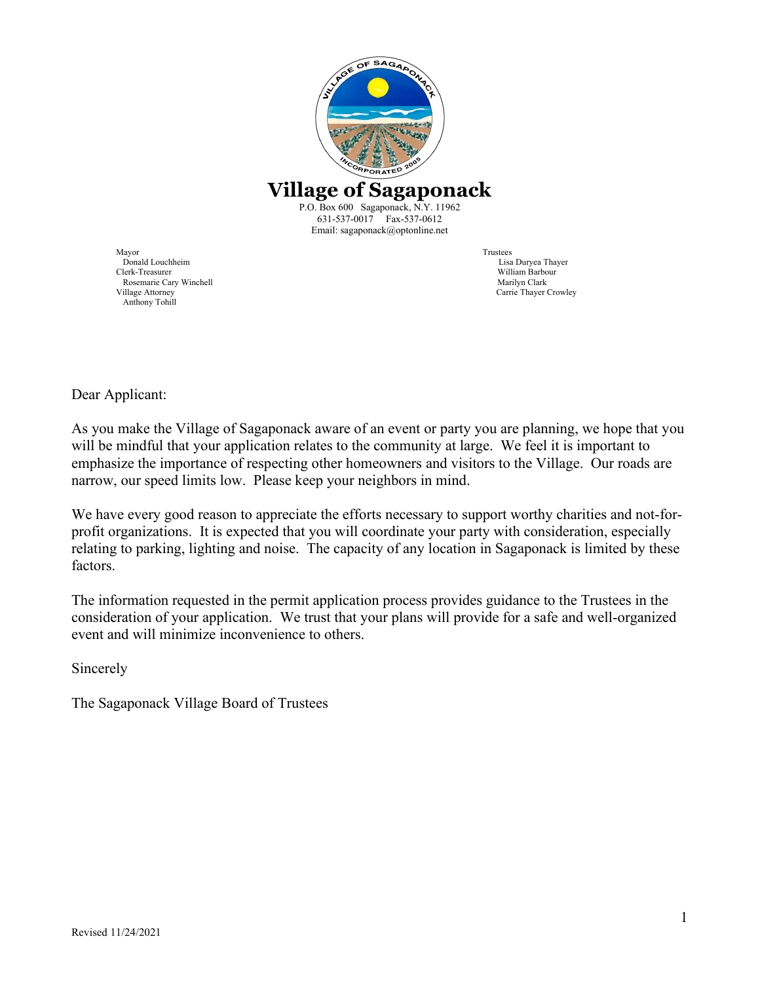

Mayor Trustees Donald Louchheim Lisa Duryea Thayer Rosemarie Cary Winchell<br>Village Attorney Anthony Tohill

William Barbour<br>Marilyn Clark Carrie Thayer Crowley

Dear Applicant:

As you make the Village of Sagaponack aware of an event or party you are planning, we hope that you will be mindful that your application relates to the community at large. We feel it is important to emphasize the importance of respecting other homeowners and visitors to the Village. Our roads are narrow, our speed limits low. Please keep your neighbors in mind.

We have every good reason to appreciate the efforts necessary to support worthy charities and not-forprofit organizations. It is expected that you will coordinate your party with consideration, especially relating to parking, lighting and noise. The capacity of any location in Sagaponack is limited by these factors.

The information requested in the permit application process provides guidance to the Trustees in the consideration of your application. We trust that your plans will provide for a safe and well-organized event and will minimize inconvenience to others.

Sincerely

The Sagaponack Village Board of Trustees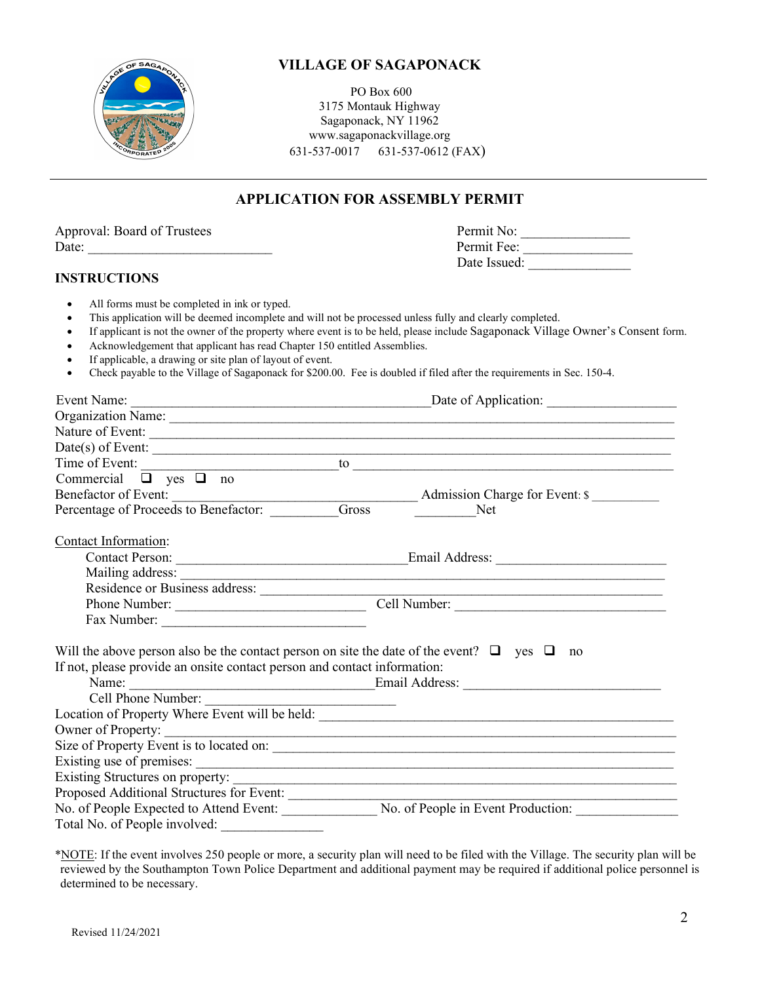

PO Box 600 3175 Montauk Highway Sagaponack, NY 11962 www.sagaponackvillage.org 631-537-0017 631-537-0612 (FAX)

# **APPLICATION FOR ASSEMBLY PERMIT**

| Approval: Board of Trustees                                              | Permit No:                                                                                                                       |
|--------------------------------------------------------------------------|----------------------------------------------------------------------------------------------------------------------------------|
| Date: $\frac{1}{2}$                                                      | Permit Fee:                                                                                                                      |
|                                                                          | Date Issued:                                                                                                                     |
| <b>INSTRUCTIONS</b>                                                      |                                                                                                                                  |
| All forms must be completed in ink or typed.                             |                                                                                                                                  |
|                                                                          | This application will be deemed incomplete and will not be processed unless fully and clearly completed.                         |
|                                                                          | If applicant is not the owner of the property where event is to be held, please include Sagaponack Village Owner's Consent form. |
| Acknowledgement that applicant has read Chapter 150 entitled Assemblies. |                                                                                                                                  |
| If applicable, a drawing or site plan of layout of event.<br>$\bullet$   | Check payable to the Village of Sagaponack for \$200.00. Fee is doubled if filed after the requirements in Sec. 150-4.           |
|                                                                          |                                                                                                                                  |
|                                                                          |                                                                                                                                  |
|                                                                          |                                                                                                                                  |
|                                                                          |                                                                                                                                  |
|                                                                          | Date(s) of Event:                                                                                                                |
|                                                                          |                                                                                                                                  |
| Commercial $\Box$ yes $\Box$ no                                          |                                                                                                                                  |
|                                                                          |                                                                                                                                  |
|                                                                          | Admission Charge for Event: \$                                                                                                   |
|                                                                          |                                                                                                                                  |
| Contact Information:                                                     |                                                                                                                                  |
|                                                                          |                                                                                                                                  |
|                                                                          |                                                                                                                                  |
|                                                                          |                                                                                                                                  |
| Phone Number:                                                            | Cell Number:                                                                                                                     |
|                                                                          |                                                                                                                                  |
|                                                                          | Will the above person also be the contact person on site the date of the event? $\Box$ yes $\Box$ no                             |
| If not, please provide an onsite contact person and contact information: |                                                                                                                                  |
|                                                                          |                                                                                                                                  |
| Cell Phone Number:                                                       |                                                                                                                                  |
|                                                                          |                                                                                                                                  |
|                                                                          |                                                                                                                                  |
|                                                                          |                                                                                                                                  |
|                                                                          |                                                                                                                                  |
|                                                                          |                                                                                                                                  |
| Proposed Additional Structures for Event:                                |                                                                                                                                  |
|                                                                          | No. of People Expected to Attend Event: No. of People in Event Production:                                                       |
|                                                                          |                                                                                                                                  |

 \*NOTE: If the event involves 250 people or more, a security plan will need to be filed with the Village. The security plan will be reviewed by the Southampton Town Police Department and additional payment may be required if additional police personnel is determined to be necessary.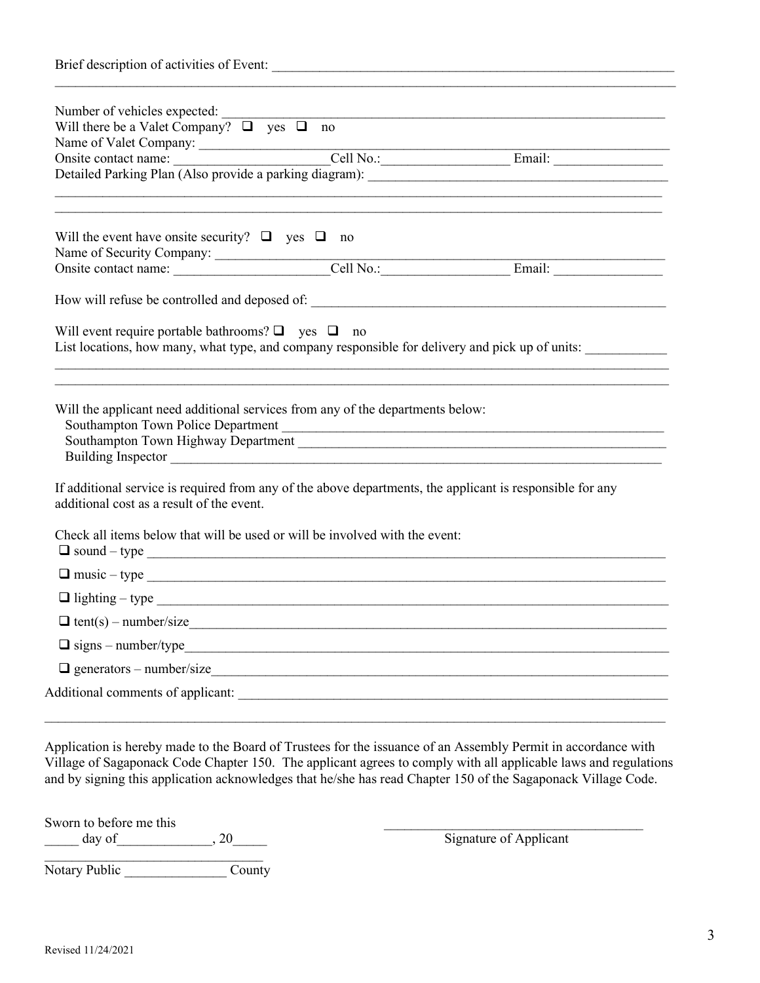| Number of vehicles expected:                                                                                                                           |  |                                                                                                 |  |  |
|--------------------------------------------------------------------------------------------------------------------------------------------------------|--|-------------------------------------------------------------------------------------------------|--|--|
| Will there be a Valet Company? $\Box$ yes $\Box$ no                                                                                                    |  |                                                                                                 |  |  |
|                                                                                                                                                        |  |                                                                                                 |  |  |
|                                                                                                                                                        |  |                                                                                                 |  |  |
|                                                                                                                                                        |  |                                                                                                 |  |  |
| Will the event have onsite security? $\Box$ yes $\Box$ no                                                                                              |  |                                                                                                 |  |  |
|                                                                                                                                                        |  |                                                                                                 |  |  |
|                                                                                                                                                        |  |                                                                                                 |  |  |
| Will event require portable bathrooms? $\Box$ yes $\Box$ no                                                                                            |  | List locations, how many, what type, and company responsible for delivery and pick up of units: |  |  |
| Will the applicant need additional services from any of the departments below:                                                                         |  | Southampton Town Police Department                                                              |  |  |
| If additional service is required from any of the above departments, the applicant is responsible for any<br>additional cost as a result of the event. |  |                                                                                                 |  |  |
| Check all items below that will be used or will be involved with the event:<br>$\Box$ sound - type $\Box$                                              |  |                                                                                                 |  |  |
| $\Box$ music - type $\Box$                                                                                                                             |  |                                                                                                 |  |  |
| $\Box$ lighting – type                                                                                                                                 |  |                                                                                                 |  |  |
| $\Box$ tent(s) – number/size                                                                                                                           |  |                                                                                                 |  |  |
| $\Box$ signs – number/type                                                                                                                             |  |                                                                                                 |  |  |
|                                                                                                                                                        |  |                                                                                                 |  |  |
| $\Box$ generators – number/size                                                                                                                        |  |                                                                                                 |  |  |

Application is hereby made to the Board of Trustees for the issuance of an Assembly Permit in accordance with Village of Sagaponack Code Chapter 150. The applicant agrees to comply with all applicable laws and regulations and by signing this application acknowledges that he/she has read Chapter 150 of the Sagaponack Village Code.

Sworn to before me this \_\_\_\_\_\_\_\_\_\_\_\_\_\_\_\_\_\_\_\_\_\_\_\_\_\_\_\_\_\_\_\_\_\_\_\_\_\_  $\frac{1}{\text{day of}}$ , 20

 $\overline{\phantom{a}}$  , where  $\overline{\phantom{a}}$  , where  $\overline{\phantom{a}}$  ,  $\overline{\phantom{a}}$  ,  $\overline{\phantom{a}}$  ,  $\overline{\phantom{a}}$  ,  $\overline{\phantom{a}}$  ,  $\overline{\phantom{a}}$  ,  $\overline{\phantom{a}}$  ,  $\overline{\phantom{a}}$  ,  $\overline{\phantom{a}}$  ,  $\overline{\phantom{a}}$  ,  $\overline{\phantom{a}}$  ,  $\overline{\phantom{a}}$  ,  $\overline{\phantom{a}}$  , Notary Public \_\_\_\_\_\_\_\_\_\_\_\_\_\_\_\_\_\_\_\_\_\_\_County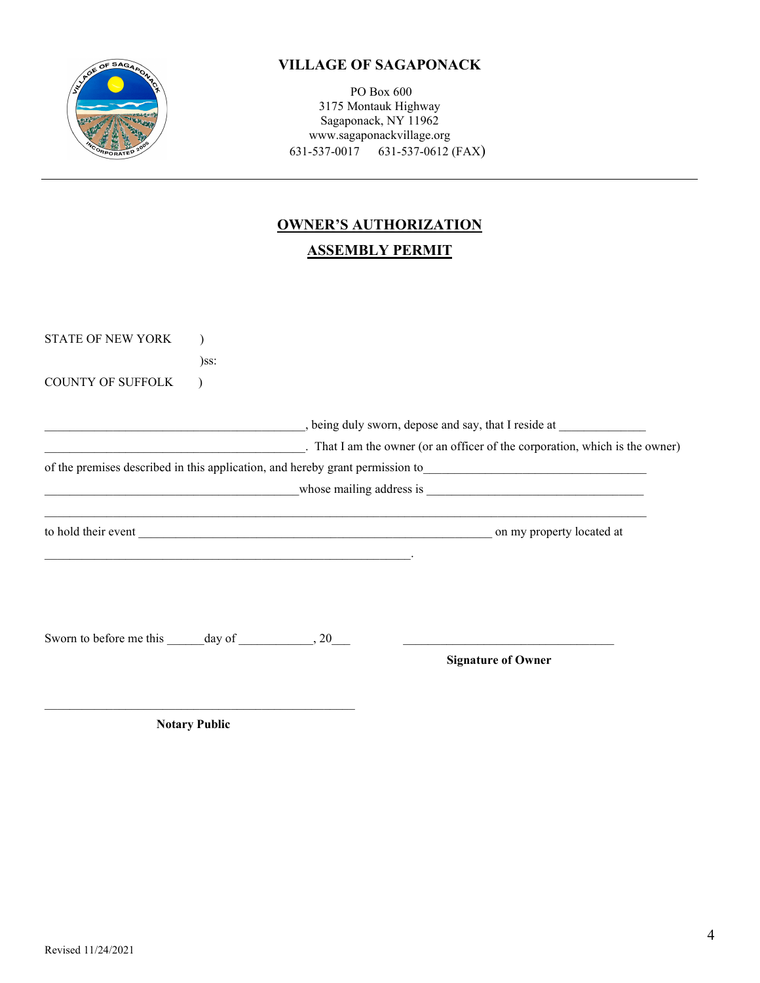

PO Box 600 3175 Montauk Highway Sagaponack, NY 11962 www.sagaponackvillage.org 631-537-0017 631-537-0612 (FAX)

# **OWNER'S AUTHORIZATION ASSEMBLY PERMIT**

|  | $\frac{1}{2}$ , being duly sworn, depose and say, that I reside at $\frac{1}{2}$<br>$\frac{1}{2}$ . That I am the owner (or an officer of the corporation, which is the owner) |                                                                                                                                                                                                                                |  |
|--|--------------------------------------------------------------------------------------------------------------------------------------------------------------------------------|--------------------------------------------------------------------------------------------------------------------------------------------------------------------------------------------------------------------------------|--|
|  |                                                                                                                                                                                | of the premises described in this application, and hereby grant permission to<br>expansion to                                                                                                                                  |  |
|  |                                                                                                                                                                                | whose mailing address is expressions are all the same whose mailing address is expressions and the same state of the same state of the same state of the same state of the same state of the same state of the same state of t |  |
|  |                                                                                                                                                                                |                                                                                                                                                                                                                                |  |
|  |                                                                                                                                                                                |                                                                                                                                                                                                                                |  |
|  |                                                                                                                                                                                |                                                                                                                                                                                                                                |  |
|  |                                                                                                                                                                                |                                                                                                                                                                                                                                |  |
|  |                                                                                                                                                                                |                                                                                                                                                                                                                                |  |
|  |                                                                                                                                                                                |                                                                                                                                                                                                                                |  |
|  |                                                                                                                                                                                |                                                                                                                                                                                                                                |  |

 **Notary Public**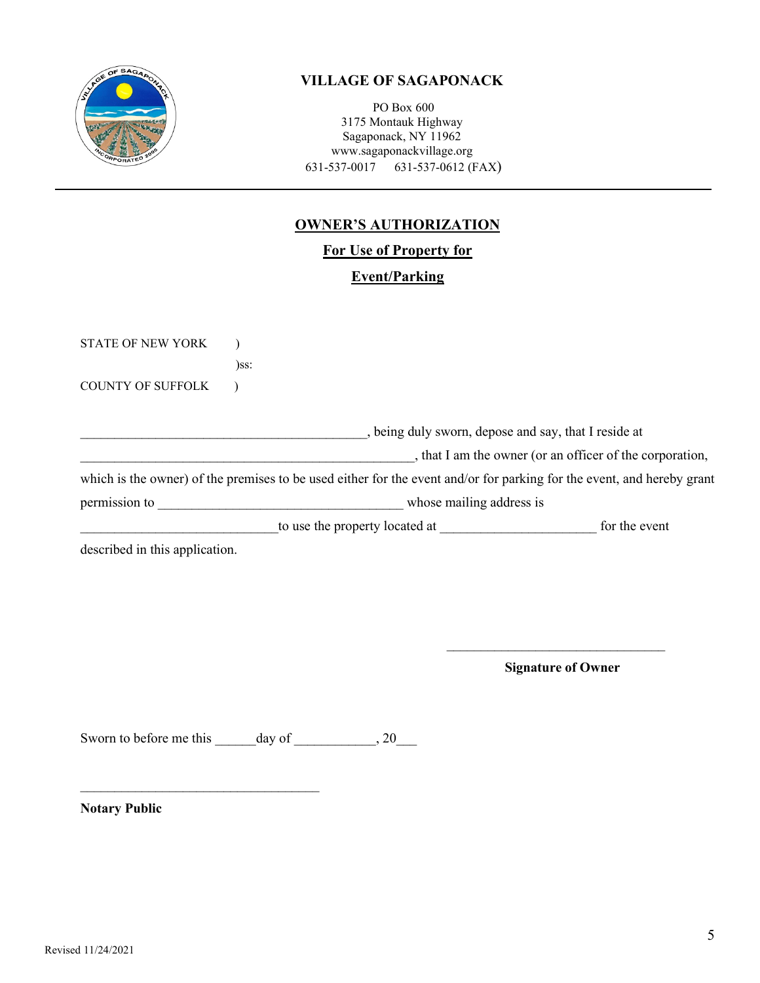

PO Box 600 3175 Montauk Highway Sagaponack, NY 11962 www.sagaponackvillage.org 631-537-0017 631-537-0612 (FAX)

# **OWNER'S AUTHORIZATION**

**For Use of Property for**

**Event/Parking**

| <b>STATE OF NEW YORK</b>       |                                                                                                                        |               |  |  |  |
|--------------------------------|------------------------------------------------------------------------------------------------------------------------|---------------|--|--|--|
|                                | $)$ ss:                                                                                                                |               |  |  |  |
| <b>COUNTY OF SUFFOLK</b>       |                                                                                                                        |               |  |  |  |
|                                |                                                                                                                        |               |  |  |  |
|                                | , being duly sworn, depose and say, that I reside at                                                                   |               |  |  |  |
|                                | , that I am the owner (or an officer of the corporation,                                                               |               |  |  |  |
|                                | which is the owner) of the premises to be used either for the event and/or for parking for the event, and hereby grant |               |  |  |  |
| permission to                  | whose mailing address is                                                                                               |               |  |  |  |
|                                | to use the property located at                                                                                         | for the event |  |  |  |
| described in this application. |                                                                                                                        |               |  |  |  |
|                                |                                                                                                                        |               |  |  |  |

\_\_\_\_\_\_\_\_\_\_\_\_\_\_\_\_\_\_\_\_\_\_\_\_\_\_\_\_\_\_\_\_ **Signature of Owner** 

Sworn to before me this \_\_\_\_\_\_day of \_\_\_\_\_\_\_\_\_, 20\_\_\_

\_\_\_\_\_\_\_\_\_\_\_\_\_\_\_\_\_\_\_\_\_\_\_\_\_\_\_\_\_\_\_\_\_\_\_

**Notary Public**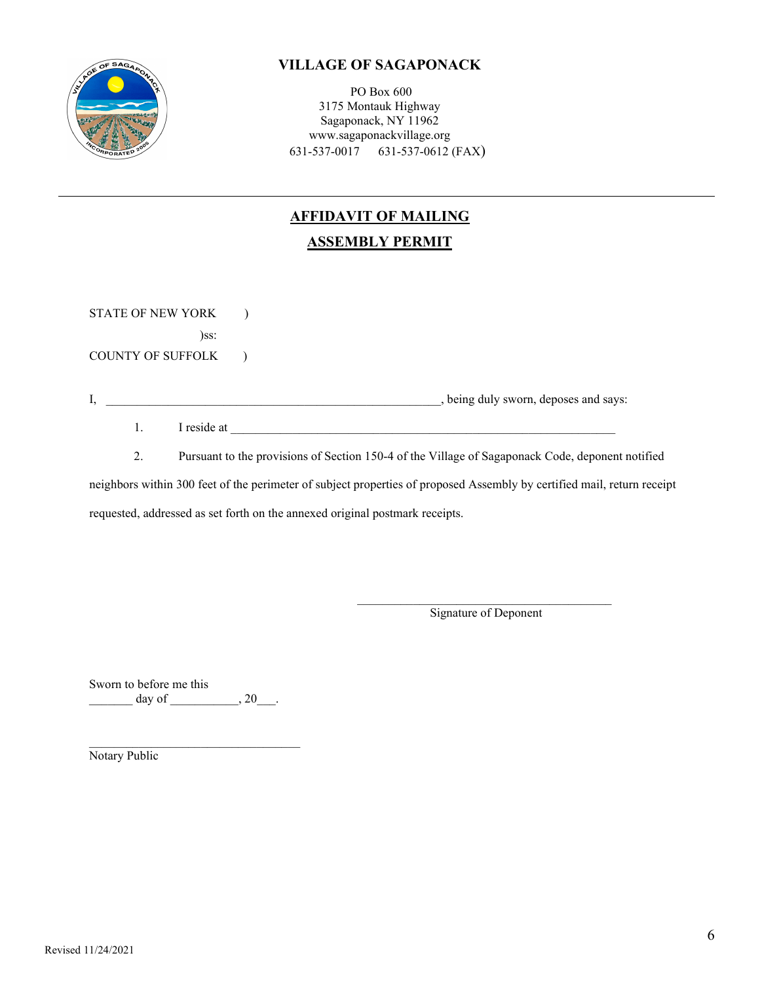

PO Box 600 3175 Montauk Highway Sagaponack, NY 11962 www.sagaponackvillage.org 631-537-0017 631-537-0612 (FAX)

# **AFFIDAVIT OF MAILING ASSEMBLY PERMIT**

STATE OF NEW YORK ) )ss: COUNTY OF SUFFOLK )

I, \_\_\_\_\_\_\_\_\_\_\_\_\_\_\_\_\_\_\_\_\_\_\_\_\_\_\_\_\_\_\_\_\_\_\_\_\_\_\_\_\_\_\_\_\_\_\_\_\_\_\_\_\_\_, being duly sworn, deposes and says:

 $1.$  I reside at

2. Pursuant to the provisions of Section 150-4 of the Village of Sagaponack Code, deponent notified

neighbors within 300 feet of the perimeter of subject properties of proposed Assembly by certified mail, return receipt

requested, addressed as set forth on the annexed original postmark receipts.

 $\frac{1}{2}$  ,  $\frac{1}{2}$  ,  $\frac{1}{2}$  ,  $\frac{1}{2}$  ,  $\frac{1}{2}$  ,  $\frac{1}{2}$  ,  $\frac{1}{2}$  ,  $\frac{1}{2}$  ,  $\frac{1}{2}$  ,  $\frac{1}{2}$  ,  $\frac{1}{2}$  ,  $\frac{1}{2}$  ,  $\frac{1}{2}$  ,  $\frac{1}{2}$  ,  $\frac{1}{2}$  ,  $\frac{1}{2}$  ,  $\frac{1}{2}$  ,  $\frac{1}{2}$  ,  $\frac{1$ Signature of Deponent

Sworn to before me this  $\frac{day \text{ of }$  \_\_\_\_\_\_\_\_\_\_\_\_, 20\_\_\_.

 $\mathcal{L}_\mathcal{L}$  , which is a set of the set of the set of the set of the set of the set of the set of the set of the set of the set of the set of the set of the set of the set of the set of the set of the set of the set of Notary Public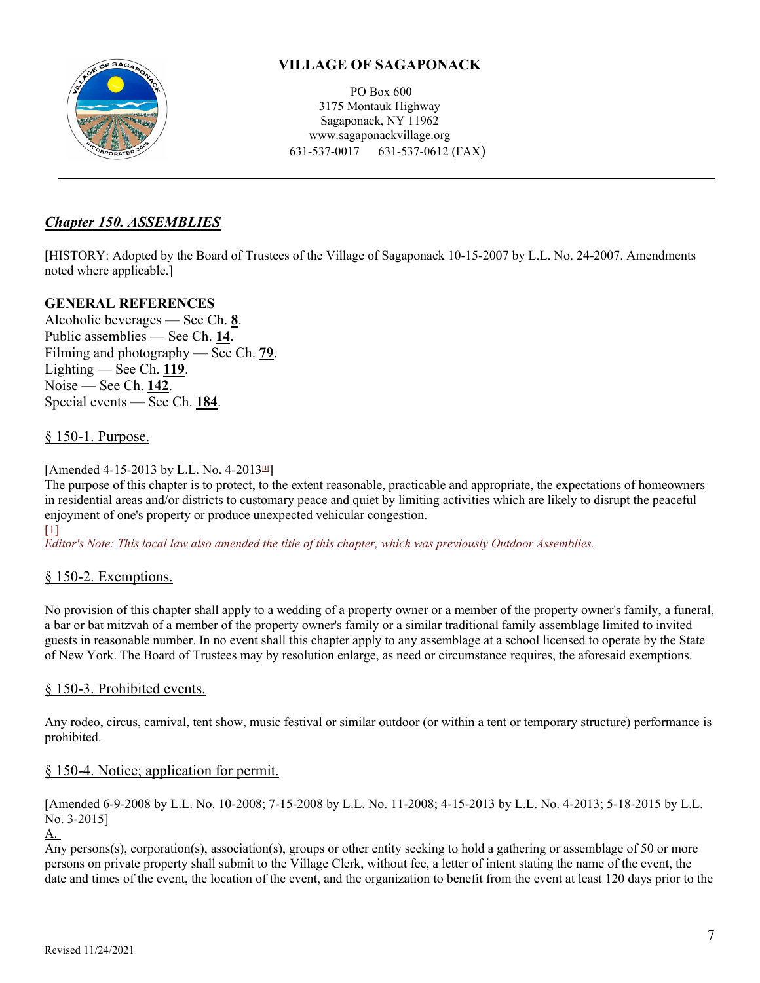

PO Box 600 3175 Montauk Highway Sagaponack, NY 11962 www.sagaponackvillage.org 631-537-0017 631-537-0612 (FAX)

## *[Chapter 150. ASSEMBLIES](http://ecode360.com/print/SA2797?guid=8081491&children=true#8081491)*

[HISTORY: Adopted by the Board of Trustees of the Village of Sagaponack 10-15-2007 by L.L. No. 24-2007. Amendments noted where applicable.]

## **GENERAL REFERENCES**

Alcoholic beverages — See Ch. **[8](http://ecode360.com/print/8080711#8080711)**. Public assemblies — See Ch. **[14](http://ecode360.com/print/8080723#8080723)**. Filming and photography — See Ch. **[79](http://ecode360.com/print/8081007#8081007)**. Lighting — See Ch. **[119](http://ecode360.com/print/8081360#8081360)**. Noise — See Ch. **[142](http://ecode360.com/print/8081428#8081428)**. Special events — See Ch. **[184](http://ecode360.com/print/8081614#8081614)**.

## § [150-1. Purpose.](http://ecode360.com/print/SA2797?guid=8081491&children=true#8081492)

[Amended 4-15-2013 by L.L. No. 4-2013**[\[1\]](http://ecode360.com/print/SA2797?guid=8081491&children=true#ft8081492-1)**]

The purpose of this chapter is to protect, to the extent reasonable, practicable and appropriate, the expectations of homeowners in residential areas and/or districts to customary peace and quiet by limiting activities which are likely to disrupt the peaceful enjoyment of one's property or produce unexpected vehicular congestion.  $[1]$ 

*Editor's Note: This local law also amended the title of this chapter, which was previously Outdoor Assemblies.*

## § 150-2. Exemptions.

No provision of this chapter shall apply to a wedding of a property owner or a member of the property owner's family, a funeral, a bar or bat mitzvah of a member of the property owner's family or a similar traditional family assemblage limited to invited guests in reasonable number. In no event shall this chapter apply to any assemblage at a school licensed to operate by the State of New York. The Board of Trustees may by resolution enlarge, as need or circumstance requires, the aforesaid exemptions.

## § [150-3. Prohibited events.](http://ecode360.com/print/SA2797?guid=8081491&children=true#8081494)

Any rodeo, circus, carnival, tent show, music festival or similar outdoor (or within a tent or temporary structure) performance is prohibited.

## § [150-4. Notice; application for permit.](http://ecode360.com/print/SA2797?guid=8081491&children=true#8081495)

[Amended 6-9-2008 by L.L. No. 10-2008; 7-15-2008 by L.L. No. 11-2008; 4-15-2013 by L.L. No. 4-2013; 5-18-2015 by L.L. No. 3-2015]

[A.](http://ecode360.com/print/30203941#30203941)

Any persons(s), corporation(s), association(s), groups or other entity seeking to hold a gathering or assemblage of 50 or more persons on private property shall submit to the Village Clerk, without fee, a letter of intent stating the name of the event, the date and times of the event, the location of the event, and the organization to benefit from the event at least 120 days prior to the